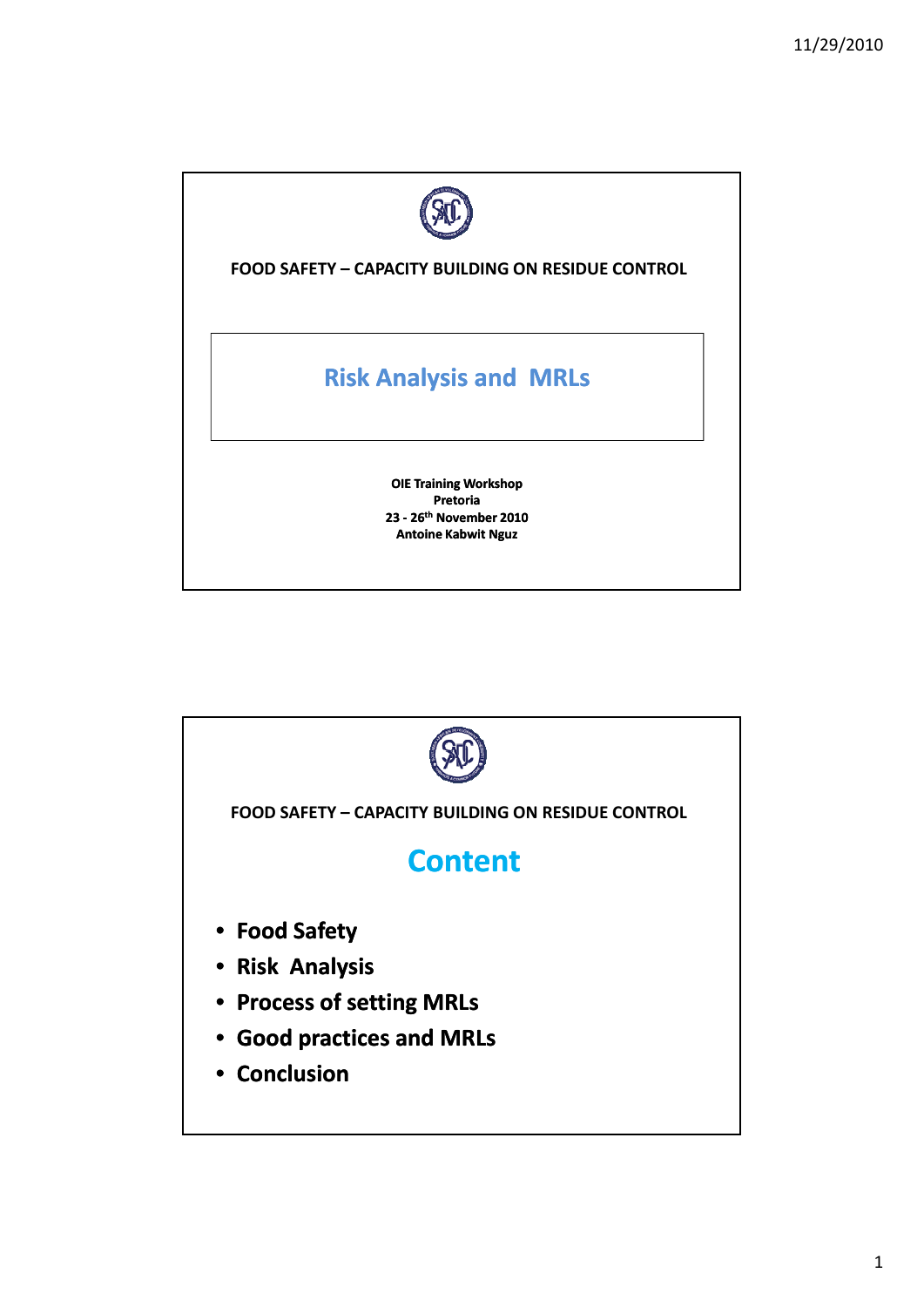

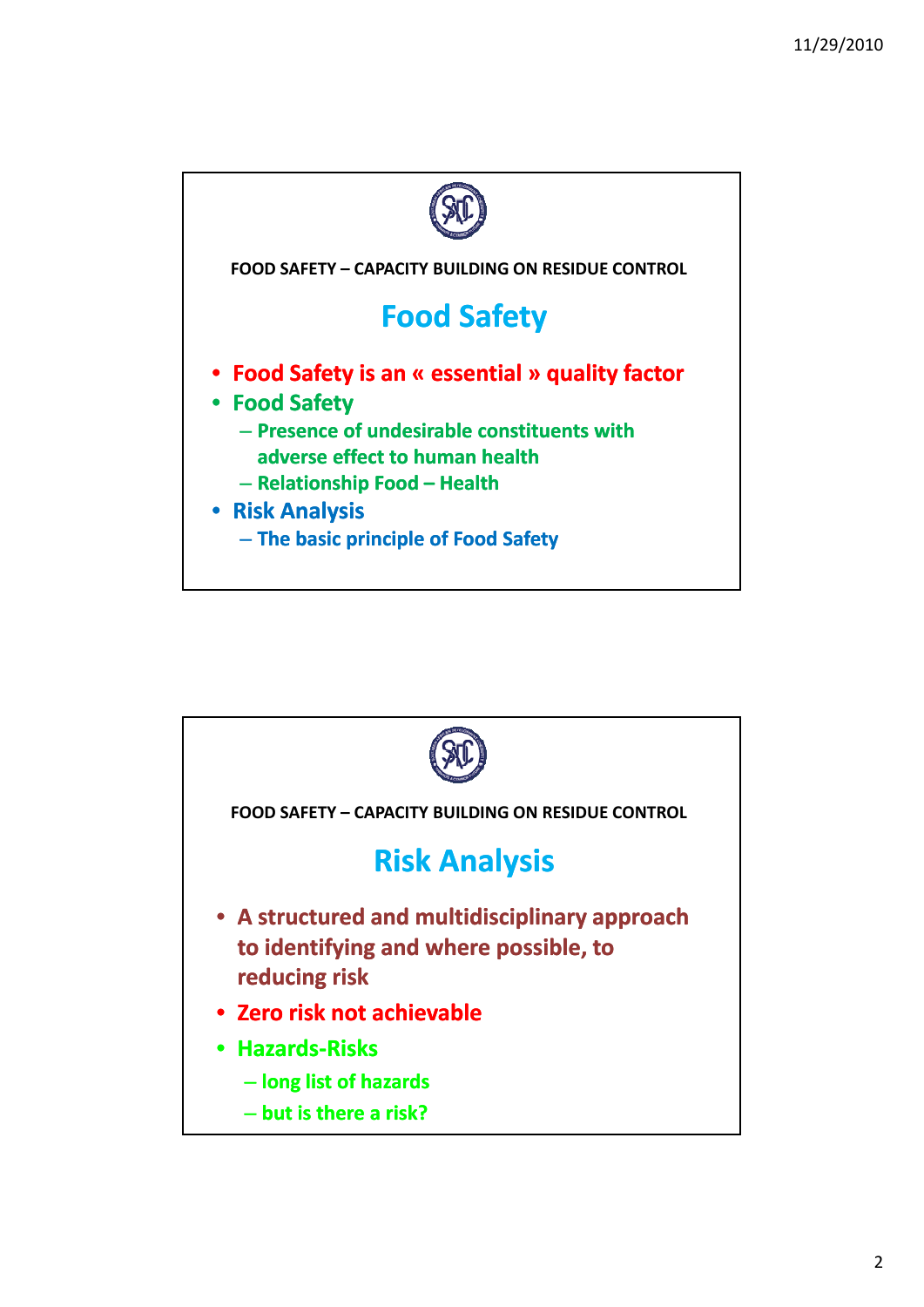

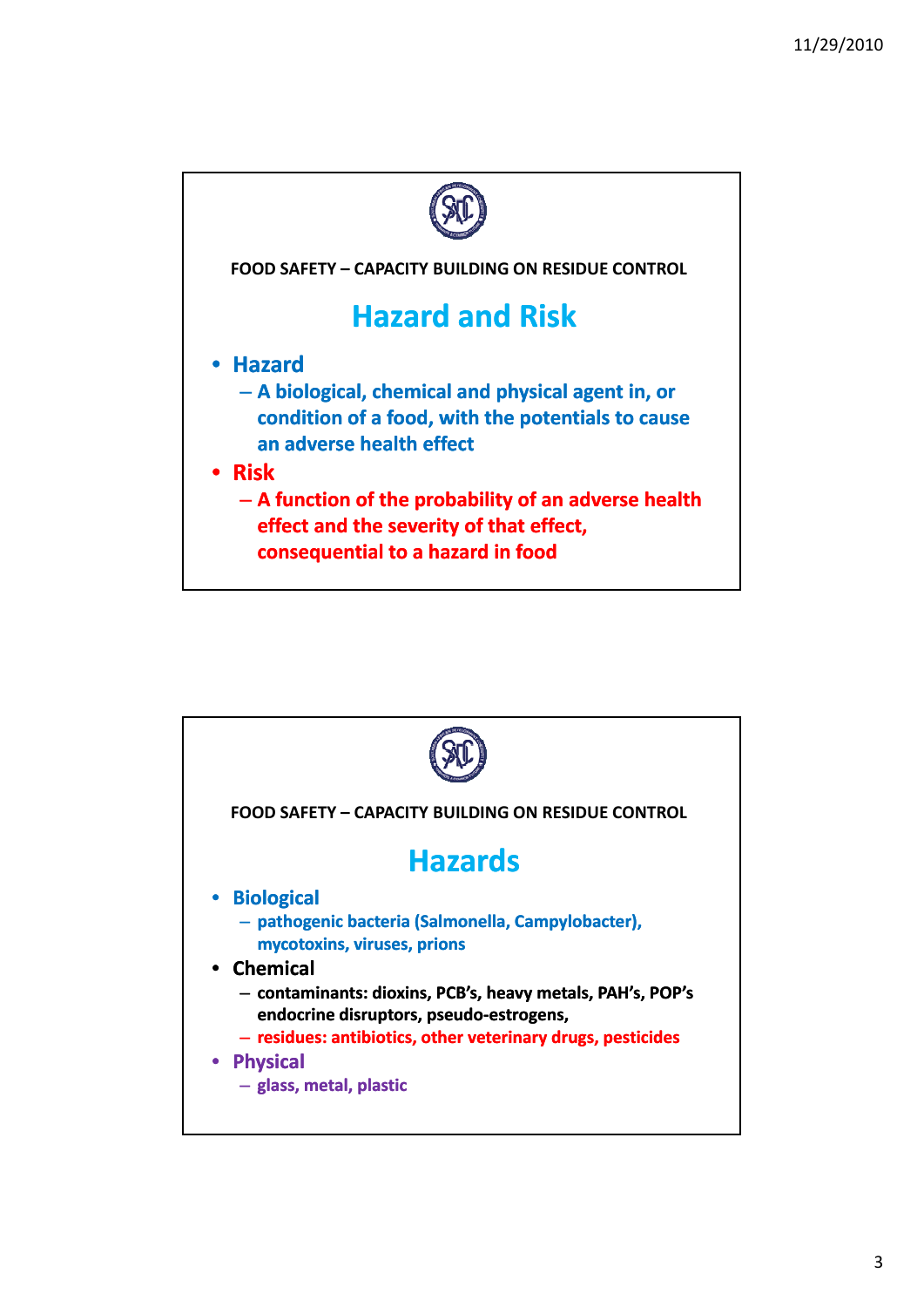

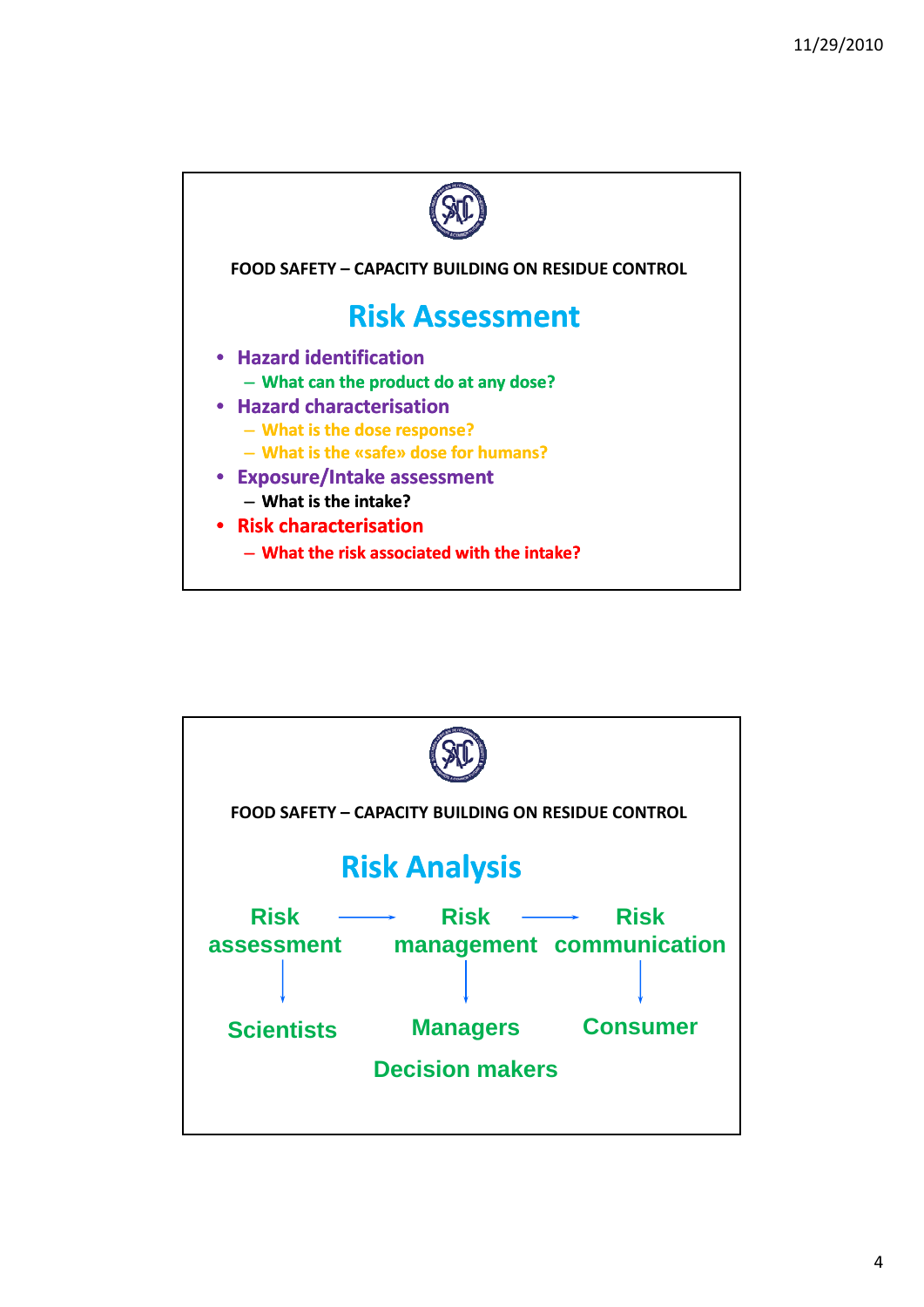

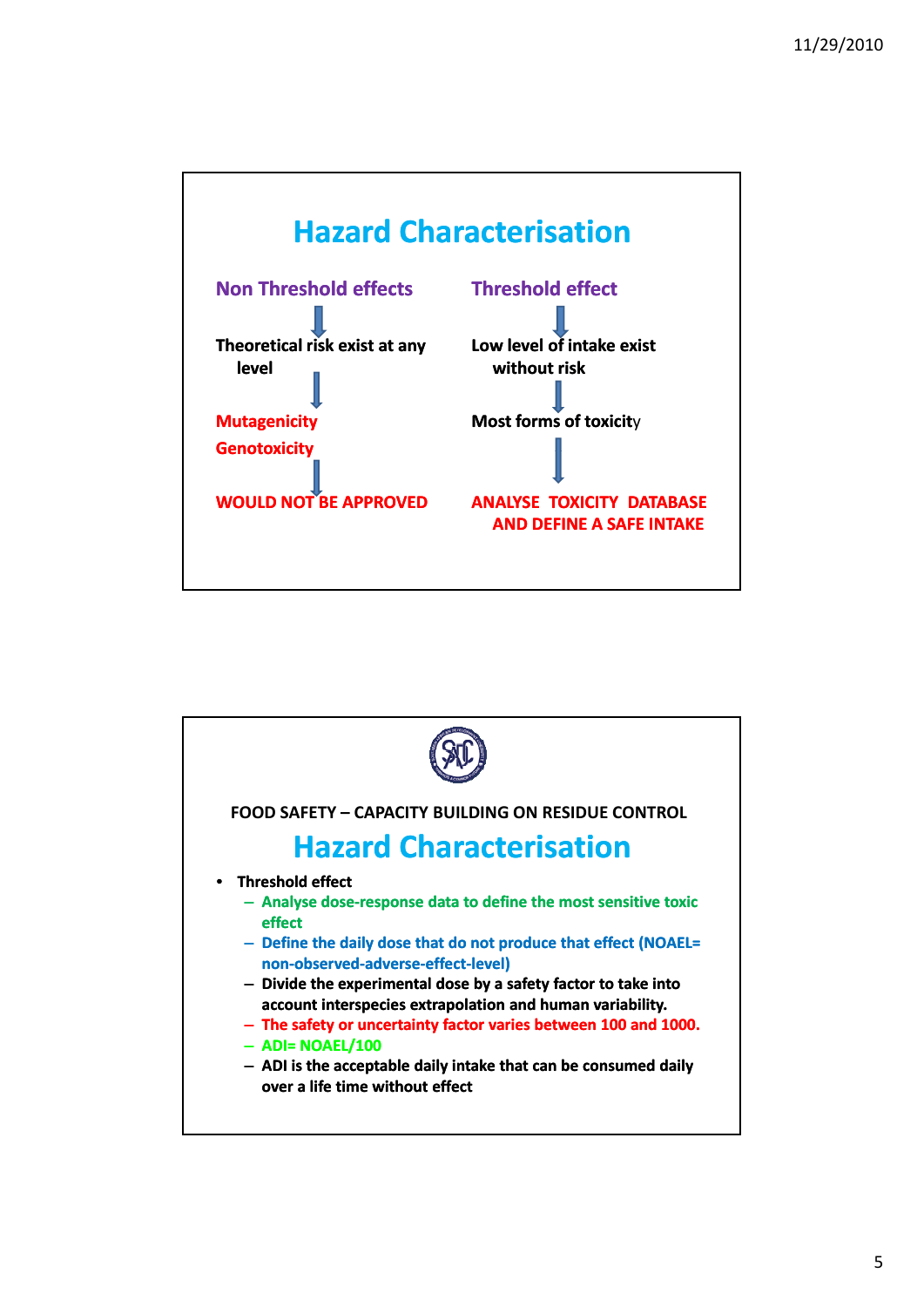

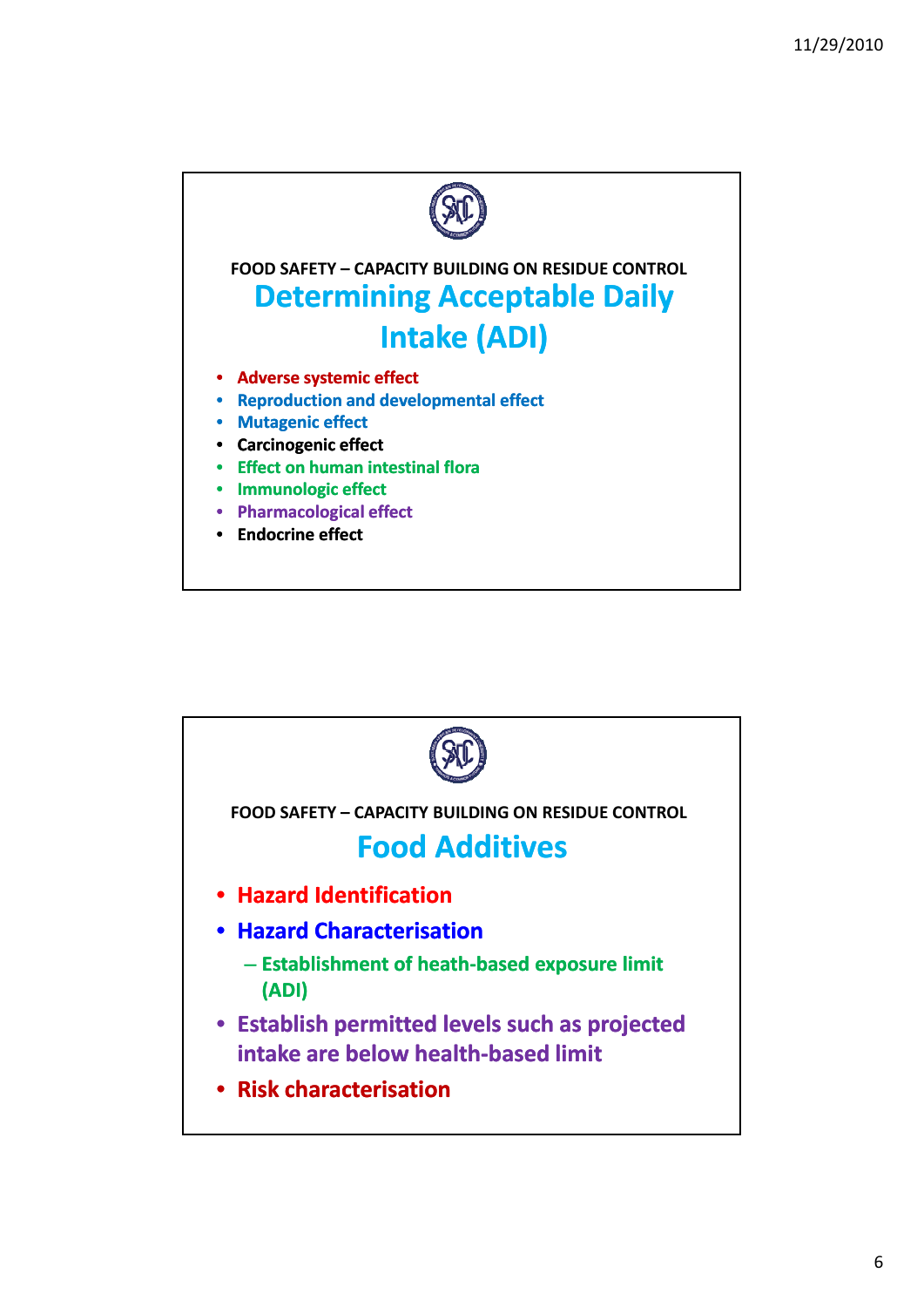

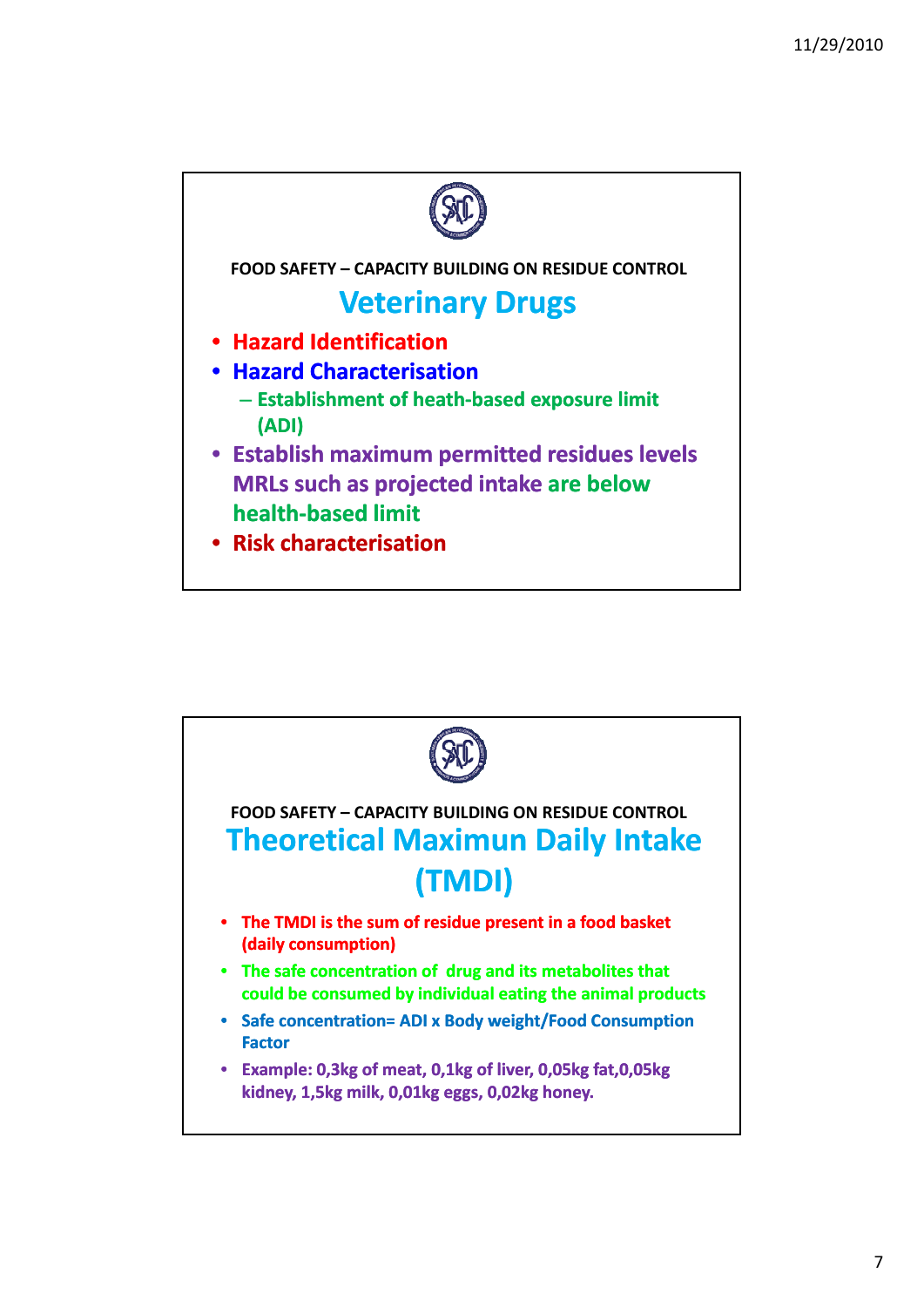

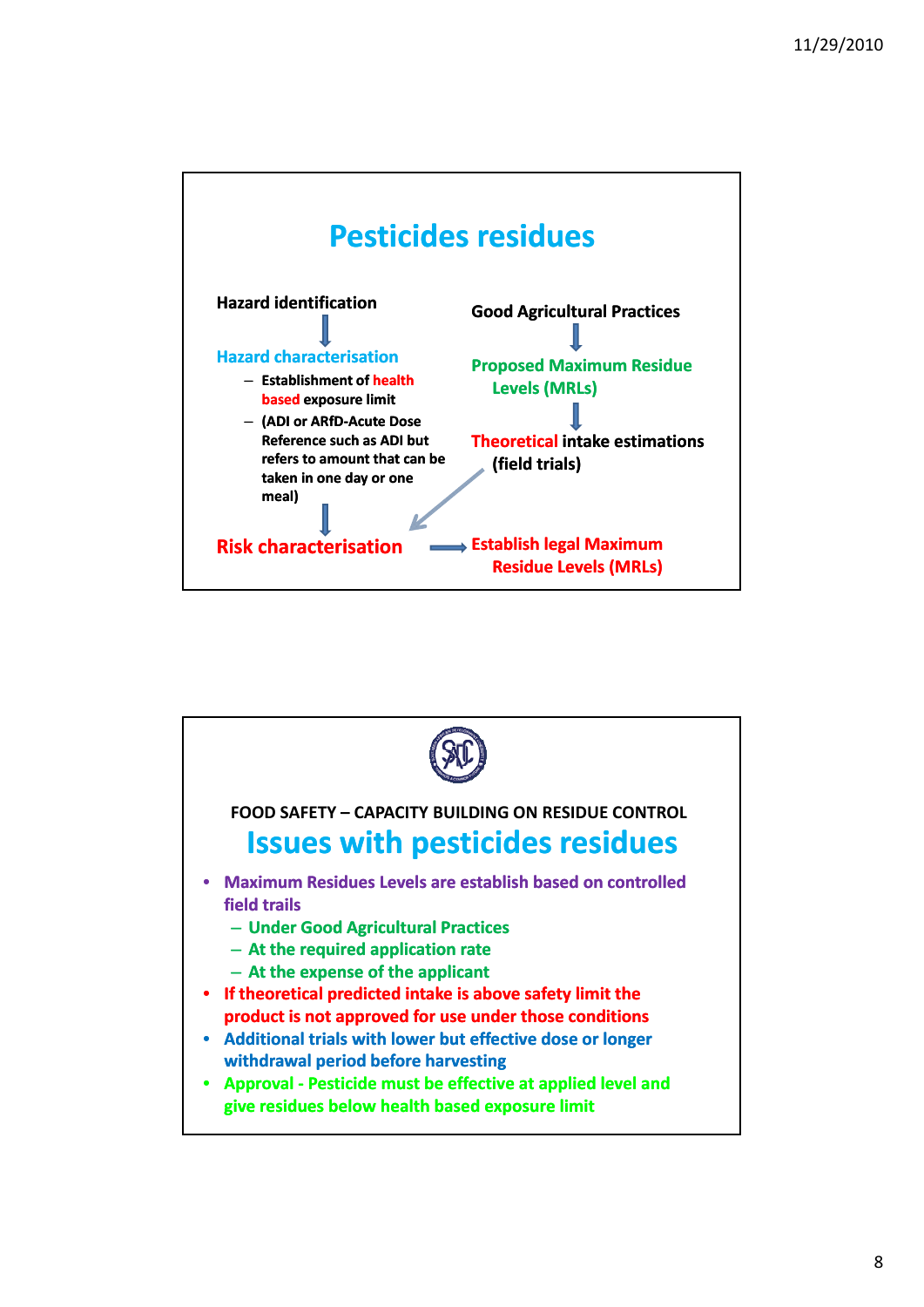



8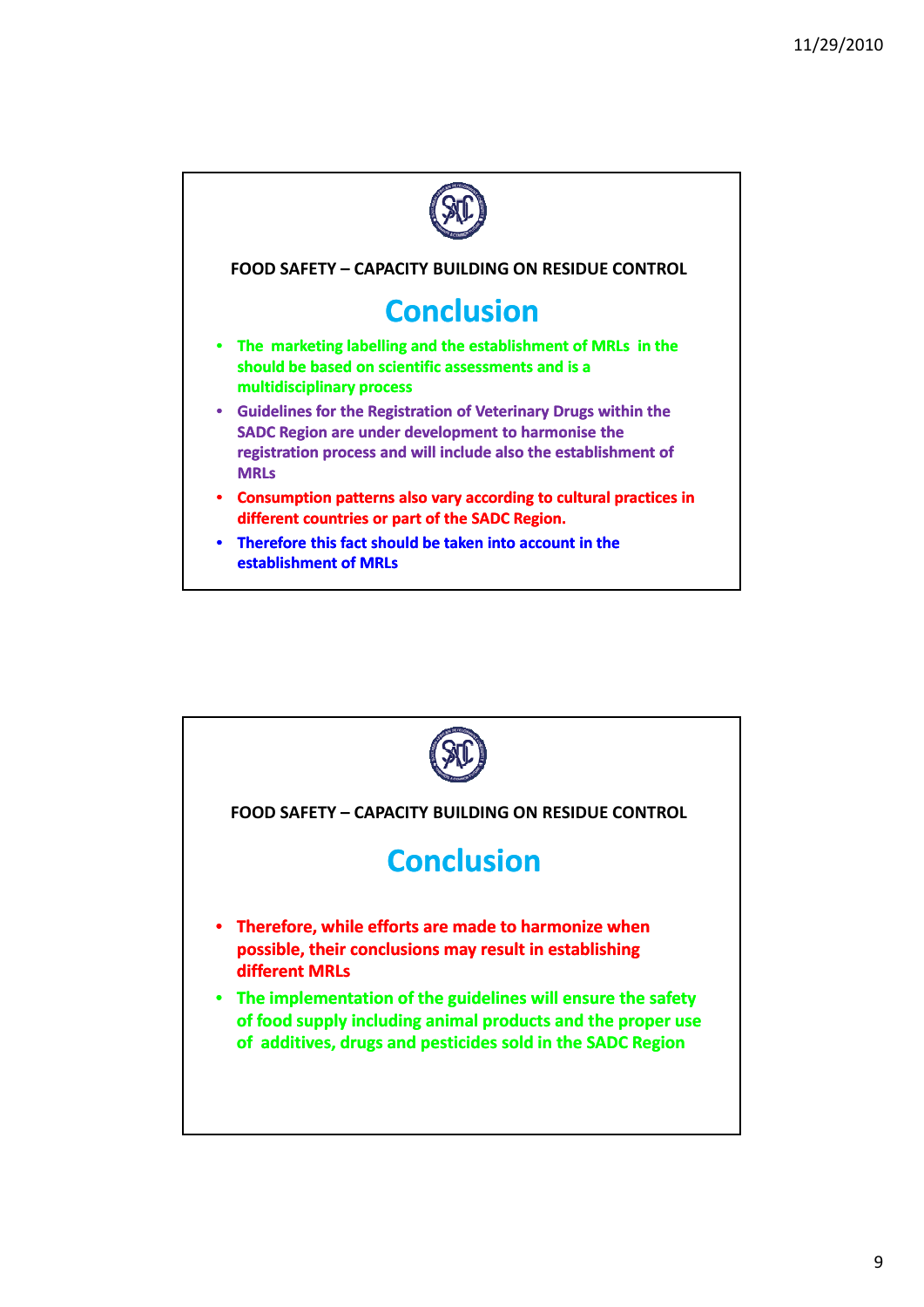